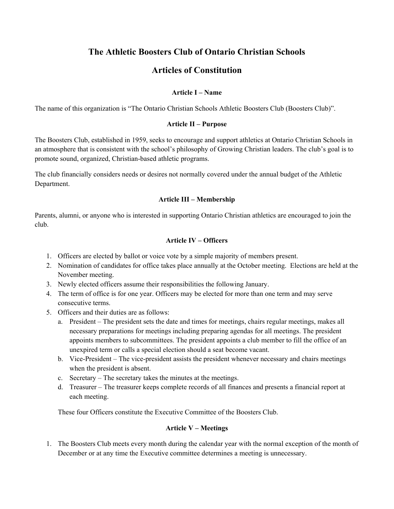# **The Athletic Boosters Club of Ontario Christian Schools**

## **Articles of Constitution**

## **Article I – Name**

The name of this organization is "The Ontario Christian Schools Athletic Boosters Club (Boosters Club)".

## **Article II – Purpose**

The Boosters Club, established in 1959, seeks to encourage and support athletics at Ontario Christian Schools in an atmosphere that is consistent with the school's philosophy of Growing Christian leaders. The club's goal is to promote sound, organized, Christian-based athletic programs.

The club financially considers needs or desires not normally covered under the annual budget of the Athletic Department.

## **Article III – Membership**

Parents, alumni, or anyone who is interested in supporting Ontario Christian athletics are encouraged to join the club.

## **Article IV – Officers**

- 1. Officers are elected by ballot or voice vote by a simple majority of members present.
- 2. Nomination of candidates for office takes place annually at the October meeting. Elections are held at the November meeting.
- 3. Newly elected officers assume their responsibilities the following January.
- 4. The term of office is for one year. Officers may be elected for more than one term and may serve consecutive terms.
- 5. Officers and their duties are as follows:
	- a. President The president sets the date and times for meetings, chairs regular meetings, makes all necessary preparations for meetings including preparing agendas for all meetings. The president appoints members to subcommittees. The president appoints a club member to fill the office of an unexpired term or calls a special election should a seat become vacant.
	- b. Vice‐President The vice-president assists the president whenever necessary and chairs meetings when the president is absent.
	- c. Secretary The secretary takes the minutes at the meetings.
	- d. Treasurer The treasurer keeps complete records of all finances and presents a financial report at each meeting.

These four Officers constitute the Executive Committee of the Boosters Club.

## **Article V – Meetings**

1. The Boosters Club meets every month during the calendar year with the normal exception of the month of December or at any time the Executive committee determines a meeting is unnecessary.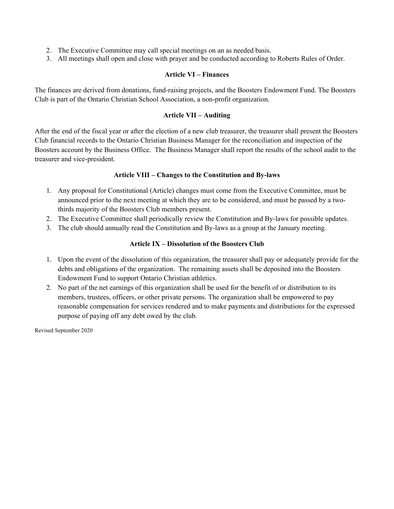- 2. The Executive Committee may call special meetings on an as needed basis.
- 3. All meetings shall open and close with prayer and be conducted according to Roberts Rules of Order.

#### **Article VI – Finances**

The finances are derived from donations, fund‐raising projects, and the Boosters Endowment Fund. The Boosters Club is part of the Ontario Christian School Association, a non‐profit organization.

#### **Article VII – Auditing**

After the end of the fiscal year or after the election of a new club treasurer, the treasurer shall present the Boosters Club financial records to the Ontario Christian Business Manager for the reconciliation and inspection of the Boosters account by the Business Office. The Business Manager shall report the results of the school audit to the treasurer and vice-president.

## **Article VIII – Changes to the Constitution and By-laws**

- 1. Any proposal for Constitutional (Article) changes must come from the Executive Committee, must be announced prior to the next meeting at which they are to be considered, and must be passed by a twothirds majority of the Boosters Club members present.
- 2. The Executive Committee shall periodically review the Constitution and By-laws for possible updates.
- 3. The club should annually read the Constitution and By-laws as a group at the January meeting.

#### **Article IX – Dissolution of the Boosters Club**

- 1. Upon the event of the dissolution of this organization, the treasurer shall pay or adequately provide for the debts and obligations of the organization. The remaining assets shall be deposited into the Boosters Endowment Fund to support Ontario Christian athletics.
- 2. No part of the net earnings of this organization shall be used for the benefit of or distribution to its members, trustees, officers, or other private persons. The organization shall be empowered to pay reasonable compensation for services rendered and to make payments and distributions for the expressed purpose of paying off any debt owed by the club.

Revised September 2020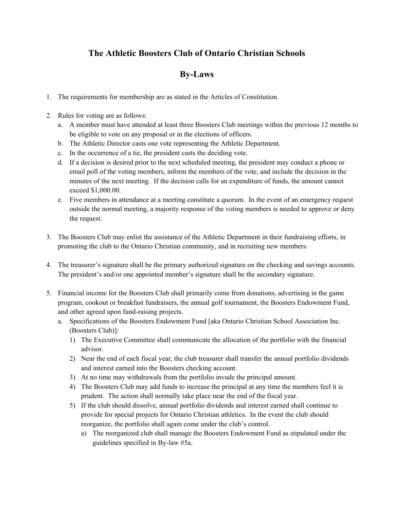# **The Athletic Boosters Club of Ontario Christian Schools**

## **By‐Laws**

- 1. The requirements for membership are as stated in the Articles of Constitution.
- 2. Rules for voting are as follows:
	- a. A member must have attended at least three Boosters Club meetings within the previous 12 months to be eligible to vote on any proposal or in the elections of officers.
	- b. The Athletic Director casts one vote representing the Athletic Department.
	- c. In the occurrence of a tie, the president casts the deciding vote.
	- d. If a decision is desired prior to the next scheduled meeting, the president may conduct a phone or email poll of the voting members, inform the members of the vote, and include the decision in the minutes of the next meeting. If the decision calls for an expenditure of funds, the amount cannot exceed \$1,000.00.
	- e. Five members in attendance at a meeting constitute a quorum. In the event of an emergency request outside the normal meeting, a majority response of the voting members is needed to approve or deny the request.
- 3. The Boosters Club may enlist the assistance of the Athletic Department in their fundraising efforts, in promoting the club to the Ontario Christian community, and in recruiting new members.
- 4. The treasurer's signature shall be the primary authorized signature on the checking and savings accounts. The president's and/or one appointed member's signature shall be the secondary signature.
- 5. Financial income for the Boosters Club shall primarily come from donations, advertising in the game program, cookout or breakfast fundraisers, the annual golf tournament, the Boosters Endowment Fund, and other agreed upon fund‐raising projects.
	- a. Specifications of the Boosters Endowment Fund [aka Ontario Christian School Association Inc. (Boosters Club)]:
		- 1) The Executive Committee shall communicate the allocation of the portfolio with the financial advisor.
		- 2) Near the end of each fiscal year, the club treasurer shall transfer the annual portfolio dividends and interest earned into the Boosters checking account.
		- 3) At no time may withdrawals from the portfolio invade the principal amount.
		- 4) The Boosters Club may add funds to increase the principal at any time the members feel it is prudent. The action shall normally take place near the end of the fiscal year.
		- 5) If the club should dissolve, annual portfolio dividends and interest earned shall continue to provide for special projects for Ontario Christian athletics. In the event the club should reorganize, the portfolio shall again come under the club's control.
			- a) The reorganized club shall manage the Boosters Endowment Fund as stipulated under the guidelines specified in By-law #5a.